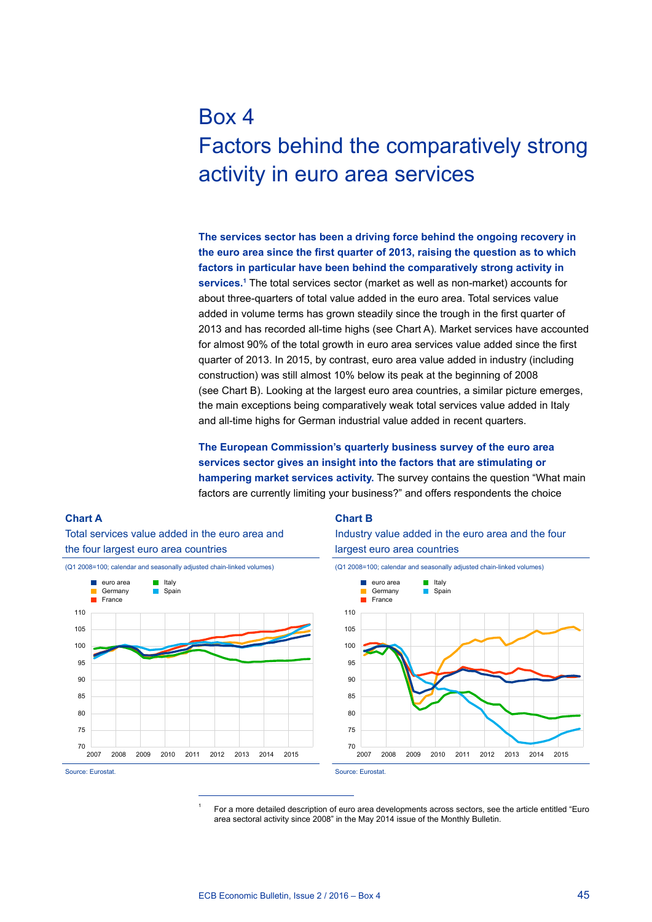# Box 4 Factors behind the comparatively strong activity in euro area services

**The services sector has been a driving force behind the ongoing recovery in the euro area since the first quarter of 2013, raising the question as to which factors in particular have been behind the comparatively strong activity in services.1** The total services sector (market as well as non-market) accounts for about three-quarters of total value added in the euro area. Total services value added in volume terms has grown steadily since the trough in the first quarter of 2013 and has recorded all-time highs (see Chart A). Market services have accounted for almost 90% of the total growth in euro area services value added since the first quarter of 2013. In 2015, by contrast, euro area value added in industry (including construction) was still almost 10% below its peak at the beginning of 2008 (see Chart B). Looking at the largest euro area countries, a similar picture emerges, the main exceptions being comparatively weak total services value added in Italy and all-time highs for German industrial value added in recent quarters.

**The European Commission's quarterly business survey of the euro area services sector gives an insight into the factors that are stimulating or hampering market services activity.** The survey contains the question "What main factors are currently limiting your business?" and offers respondents the choice

#### Total services value added in the euro area and the four largest euro area countries (Q1 2008=100; calendar and seasonally adjusted chain-linked volumes) euro area **Italy Germany I** Spain



## **Chart B**

Industry value added in the euro area and the four largest euro area countries



Source: Eurostat.

**Chart A** 

<sup>1</sup> For a more detailed description of euro area developments across sectors, see the article entitled "Euro area sectoral activity since 2008" in the May 2014 issue of the Monthly Bulletin.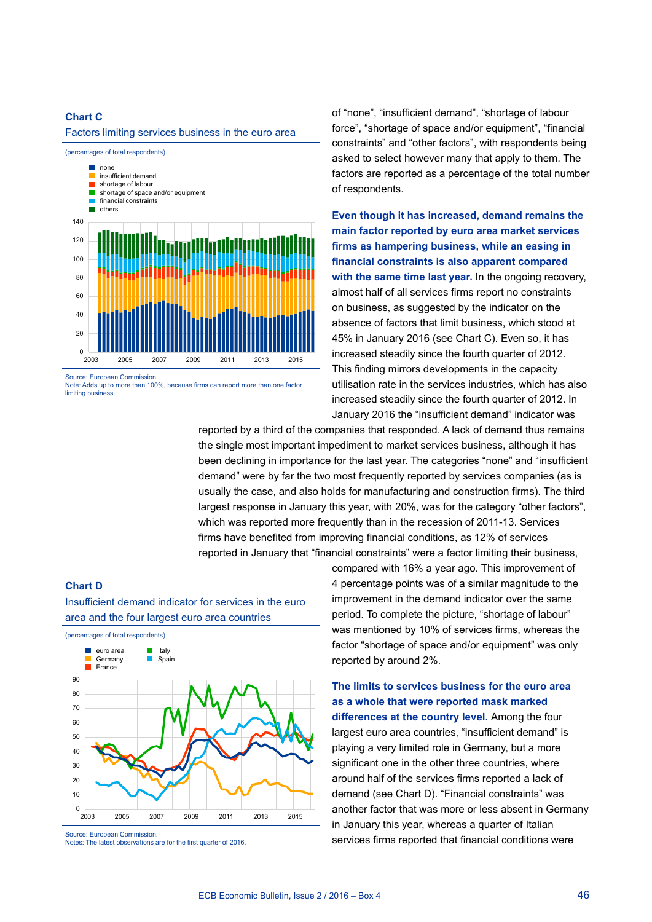# **Chart C**

Factors limiting services business in the euro area



Source: European Commission. Note: Adds up to more than 100%, because firms can report more than one factor limiting busines

of "none", "insufficient demand", "shortage of labour force", "shortage of space and/or equipment", "financial constraints" and "other factors", with respondents being asked to select however many that apply to them. The factors are reported as a percentage of the total number of respondents.

**Even though it has increased, demand remains the main factor reported by euro area market services firms as hampering business, while an easing in financial constraints is also apparent compared with the same time last year.** In the ongoing recovery, almost half of all services firms report no constraints on business, as suggested by the indicator on the absence of factors that limit business, which stood at 45% in January 2016 (see Chart C). Even so, it has increased steadily since the fourth quarter of 2012. This finding mirrors developments in the capacity utilisation rate in the services industries, which has also increased steadily since the fourth quarter of 2012. In January 2016 the "insufficient demand" indicator was

reported by a third of the companies that responded. A lack of demand thus remains the single most important impediment to market services business, although it has been declining in importance for the last year. The categories "none" and "insufficient demand" were by far the two most frequently reported by services companies (as is usually the case, and also holds for manufacturing and construction firms). The third largest response in January this year, with 20%, was for the category "other factors", which was reported more frequently than in the recession of 2011-13. Services firms have benefited from improving financial conditions, as 12% of services reported in January that "financial constraints" were a factor limiting their business,

#### **Chart D**



Insufficient demand indicator for services in the euro

Notes: The latest observations are for the first quarter of 2016.

compared with 16% a year ago. This improvement of 4 percentage points was of a similar magnitude to the improvement in the demand indicator over the same period. To complete the picture, "shortage of labour" was mentioned by 10% of services firms, whereas the factor "shortage of space and/or equipment" was only reported by around 2%.

**The limits to services business for the euro area as a whole that were reported mask marked differences at the country level.** Among the four largest euro area countries, "insufficient demand" is playing a very limited role in Germany, but a more significant one in the other three countries, where around half of the services firms reported a lack of demand (see Chart D). "Financial constraints" was another factor that was more or less absent in Germany in January this year, whereas a quarter of Italian services firms reported that financial conditions were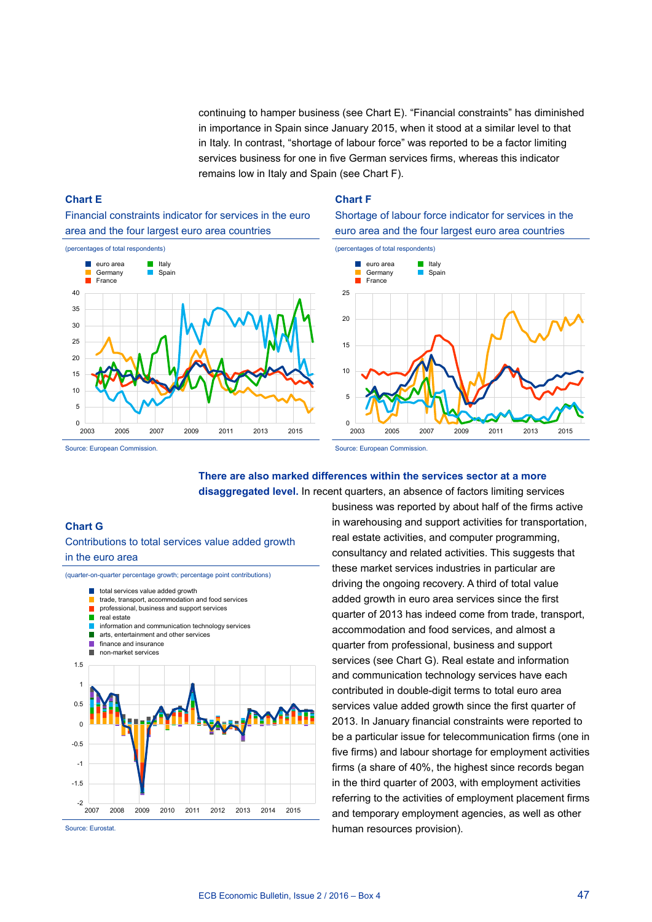continuing to hamper business (see Chart E). "Financial constraints" has diminished in importance in Spain since January 2015, when it stood at a similar level to that in Italy. In contrast, "shortage of labour force" was reported to be a factor limiting services business for one in five German services firms, whereas this indicator remains low in Italy and Spain (see Chart F).

# **Chart E**

Financial constraints indicator for services in the euro area and the four largest euro area countries



### **Chart F**

Shortage of labour force indicator for services in the euro area and the four largest euro area countries



Source: European Commission.

Source: European Commission.

# **There are also marked differences within the services sector at a more disaggregated level.** In recent quarters, an absence of factors limiting services

# **Chart g**

Contributions to total services value added growth in the euro area

(quarter-on-quarter percentage growth; percentage point contributions) total services value added growth trade, transport, accommodation and food services professional, business and support services real estate information and communication technology services  $\blacksquare$  $\blacksquare$ arts, entertainment and other services П finance and insurance П non-market services 1.5 1 0.5  $\Omega$ -0.5 -1 -1.5 -2 2007 2008 2009 2010 2011 2012 2013 2014 2015

Source: Eurostat.

business was reported by about half of the firms active in warehousing and support activities for transportation, real estate activities, and computer programming, consultancy and related activities. This suggests that these market services industries in particular are driving the ongoing recovery. A third of total value added growth in euro area services since the first quarter of 2013 has indeed come from trade, transport, accommodation and food services, and almost a quarter from professional, business and support services (see Chart G). Real estate and information and communication technology services have each contributed in double-digit terms to total euro area services value added growth since the first quarter of 2013. In January financial constraints were reported to be a particular issue for telecommunication firms (one in five firms) and labour shortage for employment activities firms (a share of 40%, the highest since records began in the third quarter of 2003, with employment activities referring to the activities of employment placement firms and temporary employment agencies, as well as other human resources provision).